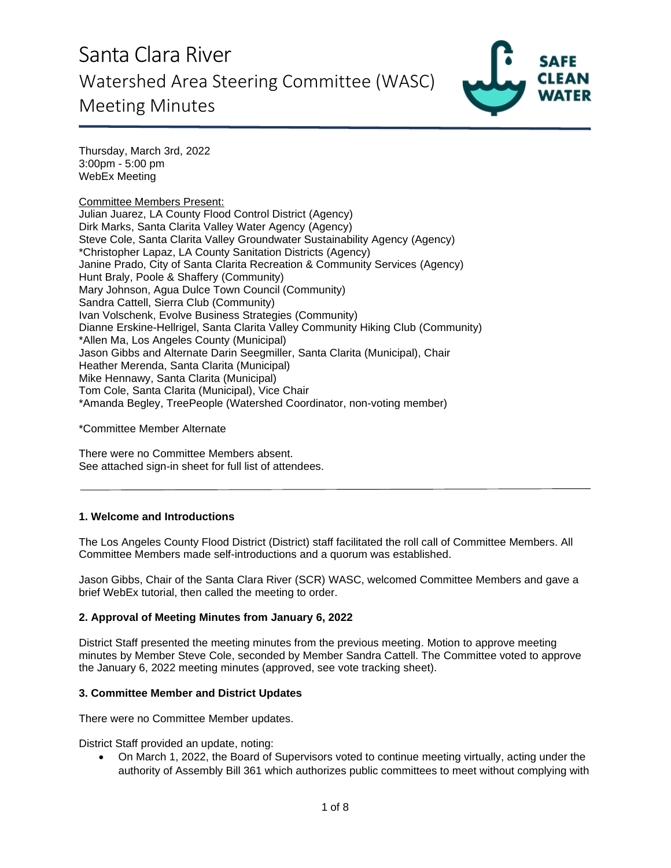

Thursday, March 3rd, 2022 3:00pm - 5:00 pm WebEx Meeting

Committee Members Present: Julian Juarez, LA County Flood Control District (Agency) Dirk Marks, Santa Clarita Valley Water Agency (Agency) Steve Cole, Santa Clarita Valley Groundwater Sustainability Agency (Agency) \*Christopher Lapaz, LA County Sanitation Districts (Agency) Janine Prado, City of Santa Clarita Recreation & Community Services (Agency) Hunt Braly, Poole & Shaffery (Community) Mary Johnson, Agua Dulce Town Council (Community) Sandra Cattell, Sierra Club (Community) Ivan Volschenk, Evolve Business Strategies (Community) Dianne Erskine-Hellrigel, Santa Clarita Valley Community Hiking Club (Community) \*Allen Ma, Los Angeles County (Municipal) Jason Gibbs and Alternate Darin Seegmiller, Santa Clarita (Municipal), Chair Heather Merenda, Santa Clarita (Municipal) Mike Hennawy, Santa Clarita (Municipal) Tom Cole, Santa Clarita (Municipal), Vice Chair \*Amanda Begley, TreePeople (Watershed Coordinator, non-voting member)

\*Committee Member Alternate

There were no Committee Members absent. See attached sign-in sheet for full list of attendees.

### **1. Welcome and Introductions**

The Los Angeles County Flood District (District) staff facilitated the roll call of Committee Members. All Committee Members made self-introductions and a quorum was established.

Jason Gibbs, Chair of the Santa Clara River (SCR) WASC, welcomed Committee Members and gave a brief WebEx tutorial, then called the meeting to order.

### **2. Approval of Meeting Minutes from January 6, 2022**

District Staff presented the meeting minutes from the previous meeting. Motion to approve meeting minutes by Member Steve Cole, seconded by Member Sandra Cattell. The Committee voted to approve the January 6, 2022 meeting minutes (approved, see vote tracking sheet).

### **3. Committee Member and District Updates**

There were no Committee Member updates.

District Staff provided an update, noting:

• On March 1, 2022, the Board of Supervisors voted to continue meeting virtually, acting under the authority of Assembly Bill 361 which authorizes public committees to meet without complying with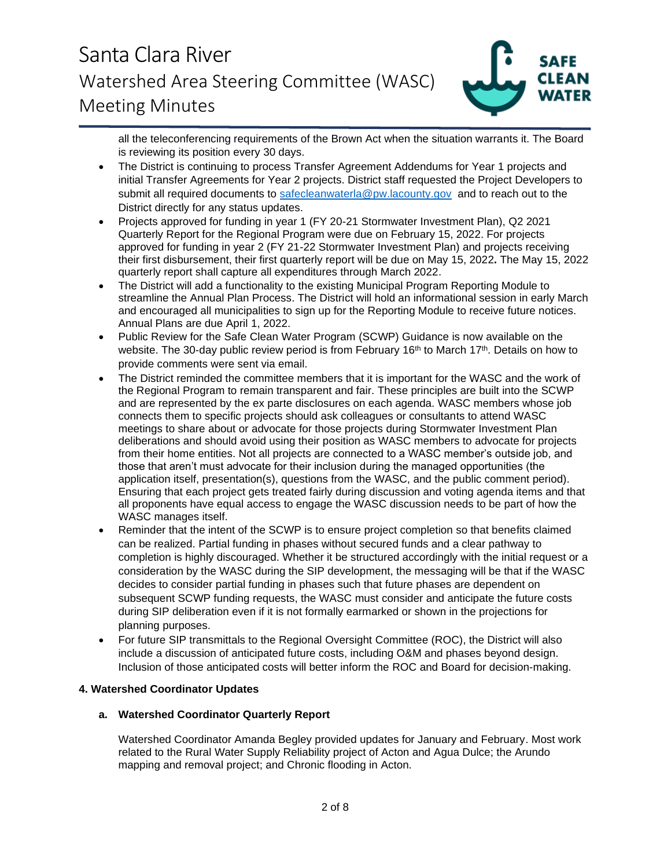

all the teleconferencing requirements of the Brown Act when the situation warrants it. The Board is reviewing its position every 30 days.

- The District is continuing to process Transfer Agreement Addendums for Year 1 projects and initial Transfer Agreements for Year 2 projects. District staff requested the Project Developers to submit all required documents to [safecleanwaterla@pw.lacounty.gov](mailto:safecleanwaterla@pw.lacounty.gov) and to reach out to the District directly for any status updates.
- Projects approved for funding in year 1 (FY 20-21 Stormwater Investment Plan), Q2 2021 Quarterly Report for the Regional Program were due on February 15, 2022. For projects approved for funding in year 2 (FY 21-22 Stormwater Investment Plan) and projects receiving their first disbursement, their first quarterly report will be due on May 15, 2022**.** The May 15, 2022 quarterly report shall capture all expenditures through March 2022.
- The District will add a functionality to the existing Municipal Program Reporting Module to streamline the Annual Plan Process. The District will hold an informational session in early March and encouraged all municipalities to sign up for the Reporting Module to receive future notices. Annual Plans are due April 1, 2022.
- Public Review for the Safe Clean Water Program (SCWP) Guidance is now available on the website. The 30-day public review period is from February 16<sup>th</sup> to March 17<sup>th</sup>. Details on how to provide comments were sent via email.
- The District reminded the committee members that it is important for the WASC and the work of the Regional Program to remain transparent and fair. These principles are built into the SCWP and are represented by the ex parte disclosures on each agenda. WASC members whose job connects them to specific projects should ask colleagues or consultants to attend WASC meetings to share about or advocate for those projects during Stormwater Investment Plan deliberations and should avoid using their position as WASC members to advocate for projects from their home entities. Not all projects are connected to a WASC member's outside job, and those that aren't must advocate for their inclusion during the managed opportunities (the application itself, presentation(s), questions from the WASC, and the public comment period). Ensuring that each project gets treated fairly during discussion and voting agenda items and that all proponents have equal access to engage the WASC discussion needs to be part of how the WASC manages itself.
- Reminder that the intent of the SCWP is to ensure project completion so that benefits claimed can be realized. Partial funding in phases without secured funds and a clear pathway to completion is highly discouraged. Whether it be structured accordingly with the initial request or a consideration by the WASC during the SIP development, the messaging will be that if the WASC decides to consider partial funding in phases such that future phases are dependent on subsequent SCWP funding requests, the WASC must consider and anticipate the future costs during SIP deliberation even if it is not formally earmarked or shown in the projections for planning purposes.
- For future SIP transmittals to the Regional Oversight Committee (ROC), the District will also include a discussion of anticipated future costs, including O&M and phases beyond design. Inclusion of those anticipated costs will better inform the ROC and Board for decision-making.

### **4. Watershed Coordinator Updates**

### **a. Watershed Coordinator Quarterly Report**

Watershed Coordinator Amanda Begley provided updates for January and February. Most work related to the Rural Water Supply Reliability project of Acton and Agua Dulce; the Arundo mapping and removal project; and Chronic flooding in Acton.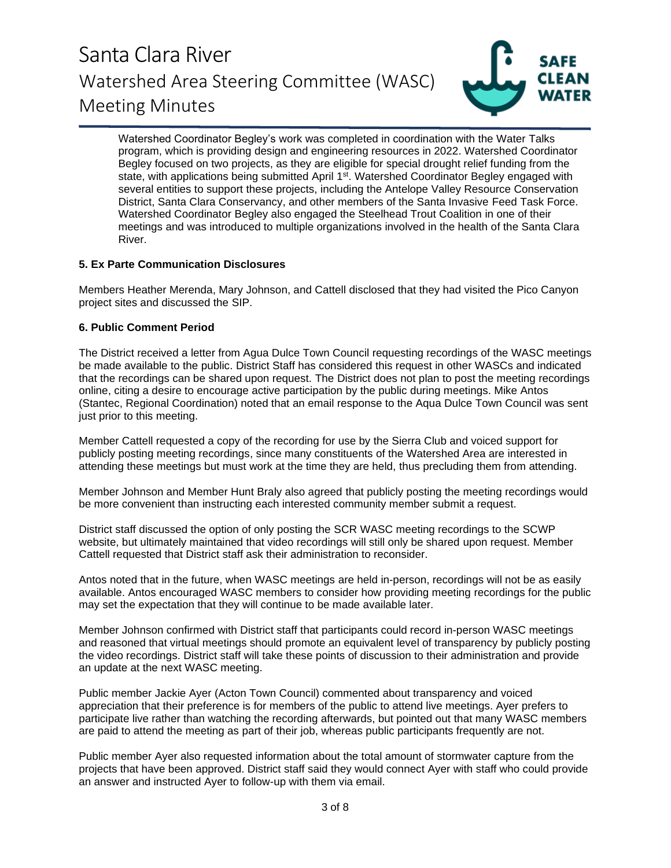

Watershed Coordinator Begley's work was completed in coordination with the Water Talks program, which is providing design and engineering resources in 2022. Watershed Coordinator Begley focused on two projects, as they are eligible for special drought relief funding from the state, with applications being submitted April 1<sup>st</sup>. Watershed Coordinator Begley engaged with several entities to support these projects, including the Antelope Valley Resource Conservation District, Santa Clara Conservancy, and other members of the Santa Invasive Feed Task Force. Watershed Coordinator Begley also engaged the Steelhead Trout Coalition in one of their meetings and was introduced to multiple organizations involved in the health of the Santa Clara River.

### **5. Ex Parte Communication Disclosures**

Members Heather Merenda, Mary Johnson, and Cattell disclosed that they had visited the Pico Canyon project sites and discussed the SIP.

### **6. Public Comment Period**

The District received a letter from Agua Dulce Town Council requesting recordings of the WASC meetings be made available to the public. District Staff has considered this request in other WASCs and indicated that the recordings can be shared upon request. The District does not plan to post the meeting recordings online, citing a desire to encourage active participation by the public during meetings. Mike Antos (Stantec, Regional Coordination) noted that an email response to the Aqua Dulce Town Council was sent just prior to this meeting.

Member Cattell requested a copy of the recording for use by the Sierra Club and voiced support for publicly posting meeting recordings, since many constituents of the Watershed Area are interested in attending these meetings but must work at the time they are held, thus precluding them from attending.

Member Johnson and Member Hunt Braly also agreed that publicly posting the meeting recordings would be more convenient than instructing each interested community member submit a request.

District staff discussed the option of only posting the SCR WASC meeting recordings to the SCWP website, but ultimately maintained that video recordings will still only be shared upon request. Member Cattell requested that District staff ask their administration to reconsider.

Antos noted that in the future, when WASC meetings are held in-person, recordings will not be as easily available. Antos encouraged WASC members to consider how providing meeting recordings for the public may set the expectation that they will continue to be made available later.

Member Johnson confirmed with District staff that participants could record in-person WASC meetings and reasoned that virtual meetings should promote an equivalent level of transparency by publicly posting the video recordings. District staff will take these points of discussion to their administration and provide an update at the next WASC meeting.

Public member Jackie Ayer (Acton Town Council) commented about transparency and voiced appreciation that their preference is for members of the public to attend live meetings. Ayer prefers to participate live rather than watching the recording afterwards, but pointed out that many WASC members are paid to attend the meeting as part of their job, whereas public participants frequently are not.

Public member Ayer also requested information about the total amount of stormwater capture from the projects that have been approved. District staff said they would connect Ayer with staff who could provide an answer and instructed Ayer to follow-up with them via email.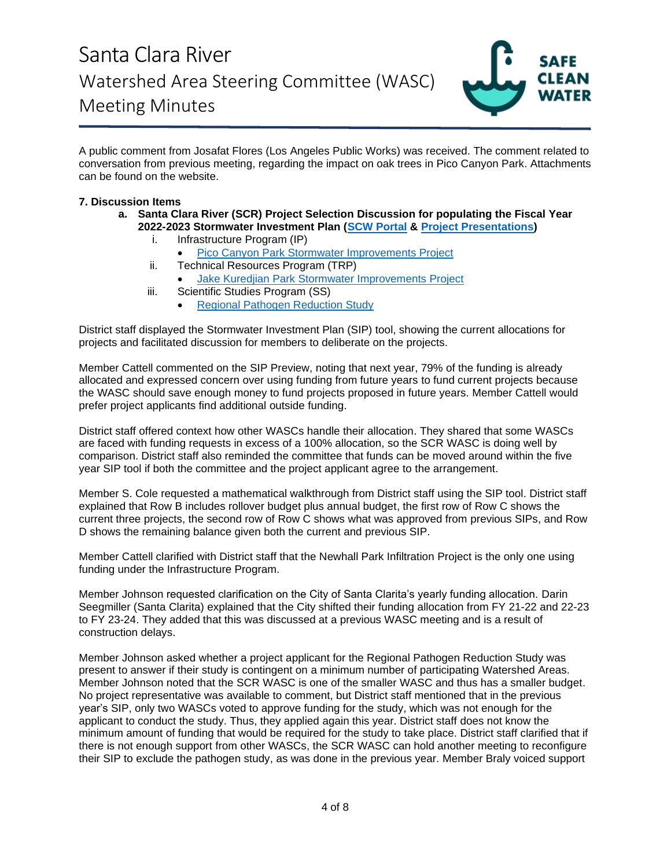

A public comment from Josafat Flores (Los Angeles Public Works) was received. The comment related to conversation from previous meeting, regarding the impact on oak trees in Pico Canyon Park. Attachments can be found on the website.

### **7. Discussion Items**

- **a. Santa Clara River (SCR) Project Selection Discussion for populating the Fiscal Year 2022-2023 Stormwater Investment Plan [\(SCW Portal](https://portal.safecleanwaterla.org/scw-reporting/map) & [Project Presentations\)](https://safecleanwaterla.org/wp-content/uploads/2021/11/WASC-SCR-Project-Presentations-20211110.pdf)**
	- i. Infrastructure Program (IP)
		- **[Pico Canyon Park Stormwater Improvements Project](https://portal.safecleanwaterla.org/projects-module-api/api/summarydownload/pdf/13/296)**
	- ii. Technical Resources Program (TRP)
		- [Jake Kuredjian Park Stormwater Improvements Project](https://portal.safecleanwaterla.org/projects-module-api/api/summarydownload/pdf/55/57)
	- iii. Scientific Studies Program (SS)
		- [Regional Pathogen Reduction Study](https://portal.safecleanwaterla.org/projects-module-api/api/summarydownload/pdf/21/16)

District staff displayed the Stormwater Investment Plan (SIP) tool, showing the current allocations for projects and facilitated discussion for members to deliberate on the projects.

Member Cattell commented on the SIP Preview, noting that next year, 79% of the funding is already allocated and expressed concern over using funding from future years to fund current projects because the WASC should save enough money to fund projects proposed in future years. Member Cattell would prefer project applicants find additional outside funding.

District staff offered context how other WASCs handle their allocation. They shared that some WASCs are faced with funding requests in excess of a 100% allocation, so the SCR WASC is doing well by comparison. District staff also reminded the committee that funds can be moved around within the five year SIP tool if both the committee and the project applicant agree to the arrangement.

Member S. Cole requested a mathematical walkthrough from District staff using the SIP tool. District staff explained that Row B includes rollover budget plus annual budget, the first row of Row C shows the current three projects, the second row of Row C shows what was approved from previous SIPs, and Row D shows the remaining balance given both the current and previous SIP.

Member Cattell clarified with District staff that the Newhall Park Infiltration Project is the only one using funding under the Infrastructure Program.

Member Johnson requested clarification on the City of Santa Clarita's yearly funding allocation. Darin Seegmiller (Santa Clarita) explained that the City shifted their funding allocation from FY 21-22 and 22-23 to FY 23-24. They added that this was discussed at a previous WASC meeting and is a result of construction delays.

Member Johnson asked whether a project applicant for the Regional Pathogen Reduction Study was present to answer if their study is contingent on a minimum number of participating Watershed Areas. Member Johnson noted that the SCR WASC is one of the smaller WASC and thus has a smaller budget. No project representative was available to comment, but District staff mentioned that in the previous year's SIP, only two WASCs voted to approve funding for the study, which was not enough for the applicant to conduct the study. Thus, they applied again this year. District staff does not know the minimum amount of funding that would be required for the study to take place. District staff clarified that if there is not enough support from other WASCs, the SCR WASC can hold another meeting to reconfigure their SIP to exclude the pathogen study, as was done in the previous year. Member Braly voiced support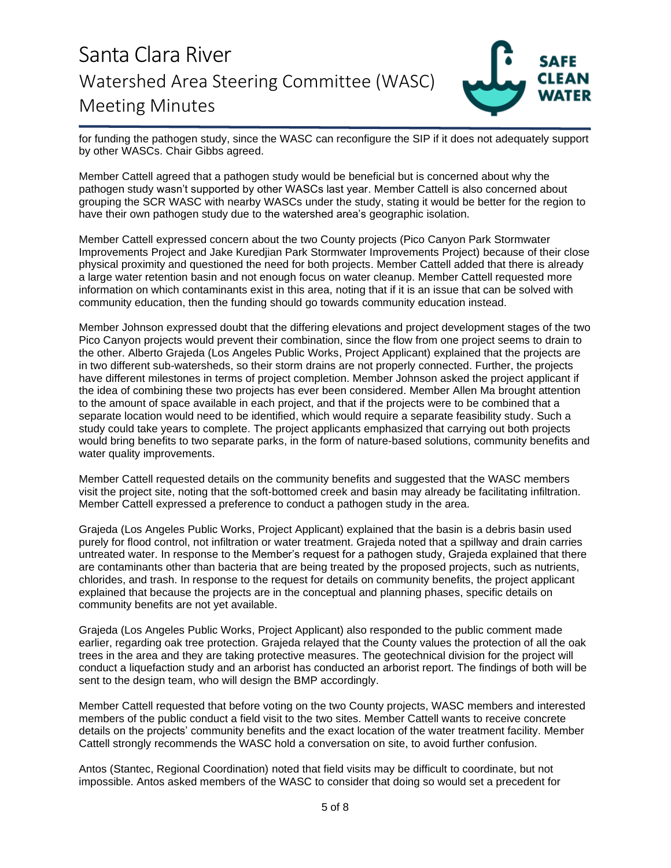

for funding the pathogen study, since the WASC can reconfigure the SIP if it does not adequately support by other WASCs. Chair Gibbs agreed.

Member Cattell agreed that a pathogen study would be beneficial but is concerned about why the pathogen study wasn't supported by other WASCs last year. Member Cattell is also concerned about grouping the SCR WASC with nearby WASCs under the study, stating it would be better for the region to have their own pathogen study due to the watershed area's geographic isolation.

Member Cattell expressed concern about the two County projects (Pico Canyon Park Stormwater Improvements Project and Jake Kuredjian Park Stormwater Improvements Project) because of their close physical proximity and questioned the need for both projects. Member Cattell added that there is already a large water retention basin and not enough focus on water cleanup. Member Cattell requested more information on which contaminants exist in this area, noting that if it is an issue that can be solved with community education, then the funding should go towards community education instead.

Member Johnson expressed doubt that the differing elevations and project development stages of the two Pico Canyon projects would prevent their combination, since the flow from one project seems to drain to the other. Alberto Grajeda (Los Angeles Public Works, Project Applicant) explained that the projects are in two different sub-watersheds, so their storm drains are not properly connected. Further, the projects have different milestones in terms of project completion. Member Johnson asked the project applicant if the idea of combining these two projects has ever been considered. Member Allen Ma brought attention to the amount of space available in each project, and that if the projects were to be combined that a separate location would need to be identified, which would require a separate feasibility study. Such a study could take years to complete. The project applicants emphasized that carrying out both projects would bring benefits to two separate parks, in the form of nature-based solutions, community benefits and water quality improvements.

Member Cattell requested details on the community benefits and suggested that the WASC members visit the project site, noting that the soft-bottomed creek and basin may already be facilitating infiltration. Member Cattell expressed a preference to conduct a pathogen study in the area.

Grajeda (Los Angeles Public Works, Project Applicant) explained that the basin is a debris basin used purely for flood control, not infiltration or water treatment. Grajeda noted that a spillway and drain carries untreated water. In response to the Member's request for a pathogen study, Grajeda explained that there are contaminants other than bacteria that are being treated by the proposed projects, such as nutrients, chlorides, and trash. In response to the request for details on community benefits, the project applicant explained that because the projects are in the conceptual and planning phases, specific details on community benefits are not yet available.

Grajeda (Los Angeles Public Works, Project Applicant) also responded to the public comment made earlier, regarding oak tree protection. Grajeda relayed that the County values the protection of all the oak trees in the area and they are taking protective measures. The geotechnical division for the project will conduct a liquefaction study and an arborist has conducted an arborist report. The findings of both will be sent to the design team, who will design the BMP accordingly.

Member Cattell requested that before voting on the two County projects, WASC members and interested members of the public conduct a field visit to the two sites. Member Cattell wants to receive concrete details on the projects' community benefits and the exact location of the water treatment facility. Member Cattell strongly recommends the WASC hold a conversation on site, to avoid further confusion.

Antos (Stantec, Regional Coordination) noted that field visits may be difficult to coordinate, but not impossible. Antos asked members of the WASC to consider that doing so would set a precedent for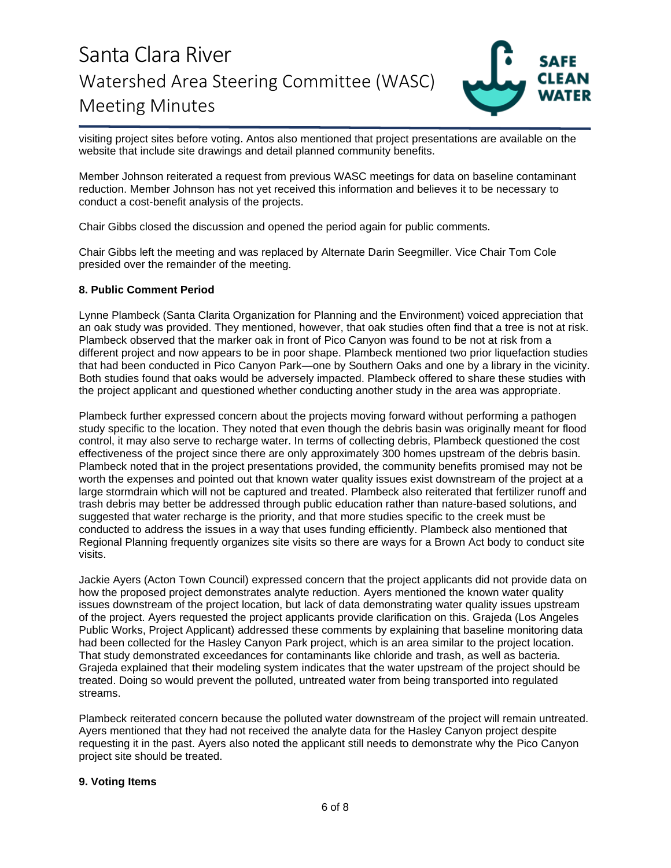

visiting project sites before voting. Antos also mentioned that project presentations are available on the website that include site drawings and detail planned community benefits.

Member Johnson reiterated a request from previous WASC meetings for data on baseline contaminant reduction. Member Johnson has not yet received this information and believes it to be necessary to conduct a cost-benefit analysis of the projects.

Chair Gibbs closed the discussion and opened the period again for public comments.

Chair Gibbs left the meeting and was replaced by Alternate Darin Seegmiller. Vice Chair Tom Cole presided over the remainder of the meeting.

#### **8. Public Comment Period**

Lynne Plambeck (Santa Clarita Organization for Planning and the Environment) voiced appreciation that an oak study was provided. They mentioned, however, that oak studies often find that a tree is not at risk. Plambeck observed that the marker oak in front of Pico Canyon was found to be not at risk from a different project and now appears to be in poor shape. Plambeck mentioned two prior liquefaction studies that had been conducted in Pico Canyon Park—one by Southern Oaks and one by a library in the vicinity. Both studies found that oaks would be adversely impacted. Plambeck offered to share these studies with the project applicant and questioned whether conducting another study in the area was appropriate.

Plambeck further expressed concern about the projects moving forward without performing a pathogen study specific to the location. They noted that even though the debris basin was originally meant for flood control, it may also serve to recharge water. In terms of collecting debris, Plambeck questioned the cost effectiveness of the project since there are only approximately 300 homes upstream of the debris basin. Plambeck noted that in the project presentations provided, the community benefits promised may not be worth the expenses and pointed out that known water quality issues exist downstream of the project at a large stormdrain which will not be captured and treated. Plambeck also reiterated that fertilizer runoff and trash debris may better be addressed through public education rather than nature-based solutions, and suggested that water recharge is the priority, and that more studies specific to the creek must be conducted to address the issues in a way that uses funding efficiently. Plambeck also mentioned that Regional Planning frequently organizes site visits so there are ways for a Brown Act body to conduct site visits.

Jackie Ayers (Acton Town Council) expressed concern that the project applicants did not provide data on how the proposed project demonstrates analyte reduction. Ayers mentioned the known water quality issues downstream of the project location, but lack of data demonstrating water quality issues upstream of the project. Ayers requested the project applicants provide clarification on this. Grajeda (Los Angeles Public Works, Project Applicant) addressed these comments by explaining that baseline monitoring data had been collected for the Hasley Canyon Park project, which is an area similar to the project location. That study demonstrated exceedances for contaminants like chloride and trash, as well as bacteria. Grajeda explained that their modeling system indicates that the water upstream of the project should be treated. Doing so would prevent the polluted, untreated water from being transported into regulated streams.

Plambeck reiterated concern because the polluted water downstream of the project will remain untreated. Ayers mentioned that they had not received the analyte data for the Hasley Canyon project despite requesting it in the past. Ayers also noted the applicant still needs to demonstrate why the Pico Canyon project site should be treated.

### **9. Voting Items**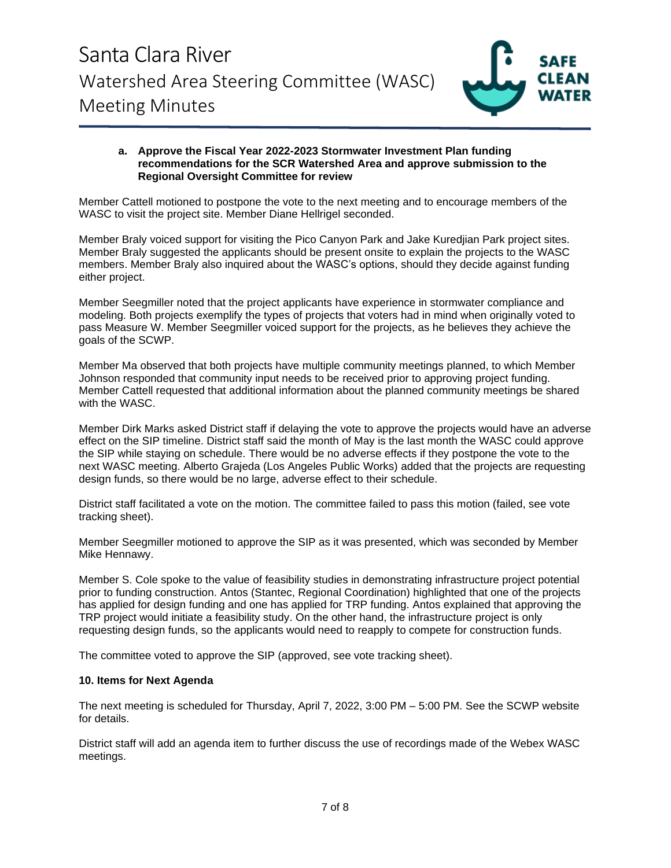

#### **a. Approve the Fiscal Year 2022-2023 Stormwater Investment Plan funding recommendations for the SCR Watershed Area and approve submission to the Regional Oversight Committee for review**

Member Cattell motioned to postpone the vote to the next meeting and to encourage members of the WASC to visit the project site. Member Diane Hellrigel seconded.

Member Braly voiced support for visiting the Pico Canyon Park and Jake Kuredjian Park project sites. Member Braly suggested the applicants should be present onsite to explain the projects to the WASC members. Member Braly also inquired about the WASC's options, should they decide against funding either project.

Member Seegmiller noted that the project applicants have experience in stormwater compliance and modeling. Both projects exemplify the types of projects that voters had in mind when originally voted to pass Measure W. Member Seegmiller voiced support for the projects, as he believes they achieve the goals of the SCWP.

Member Ma observed that both projects have multiple community meetings planned, to which Member Johnson responded that community input needs to be received prior to approving project funding. Member Cattell requested that additional information about the planned community meetings be shared with the WASC.

Member Dirk Marks asked District staff if delaying the vote to approve the projects would have an adverse effect on the SIP timeline. District staff said the month of May is the last month the WASC could approve the SIP while staying on schedule. There would be no adverse effects if they postpone the vote to the next WASC meeting. Alberto Grajeda (Los Angeles Public Works) added that the projects are requesting design funds, so there would be no large, adverse effect to their schedule.

District staff facilitated a vote on the motion. The committee failed to pass this motion (failed, see vote tracking sheet).

Member Seegmiller motioned to approve the SIP as it was presented, which was seconded by Member Mike Hennawy.

Member S. Cole spoke to the value of feasibility studies in demonstrating infrastructure project potential prior to funding construction. Antos (Stantec, Regional Coordination) highlighted that one of the projects has applied for design funding and one has applied for TRP funding. Antos explained that approving the TRP project would initiate a feasibility study. On the other hand, the infrastructure project is only requesting design funds, so the applicants would need to reapply to compete for construction funds.

The committee voted to approve the SIP (approved, see vote tracking sheet).

### **10. Items for Next Agenda**

The next meeting is scheduled for Thursday, April 7, 2022, 3:00 PM – 5:00 PM. See the SCWP website for details.

District staff will add an agenda item to further discuss the use of recordings made of the Webex WASC meetings.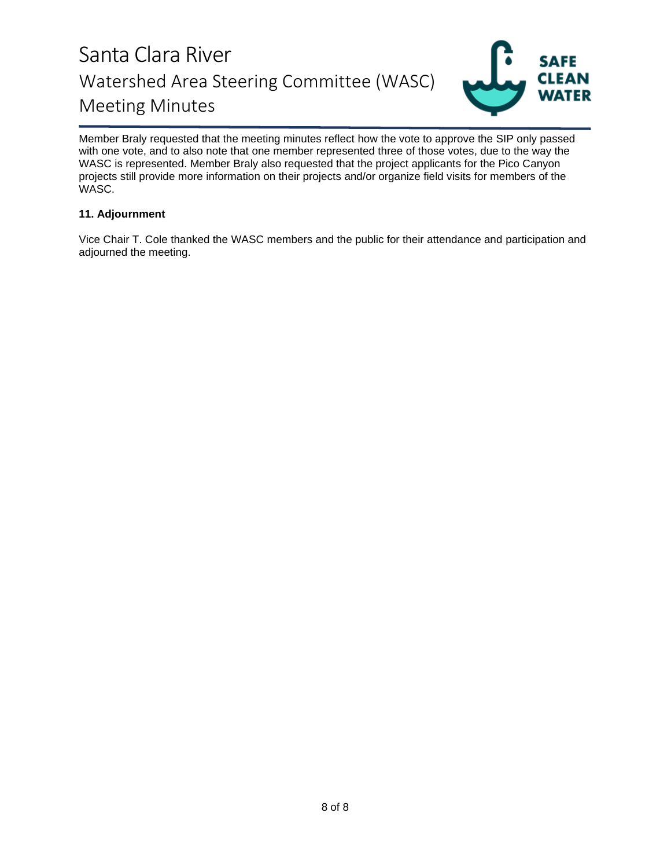

Member Braly requested that the meeting minutes reflect how the vote to approve the SIP only passed with one vote, and to also note that one member represented three of those votes, due to the way the WASC is represented. Member Braly also requested that the project applicants for the Pico Canyon projects still provide more information on their projects and/or organize field visits for members of the WASC.

### **11. Adjournment**

Vice Chair T. Cole thanked the WASC members and the public for their attendance and participation and adjourned the meeting.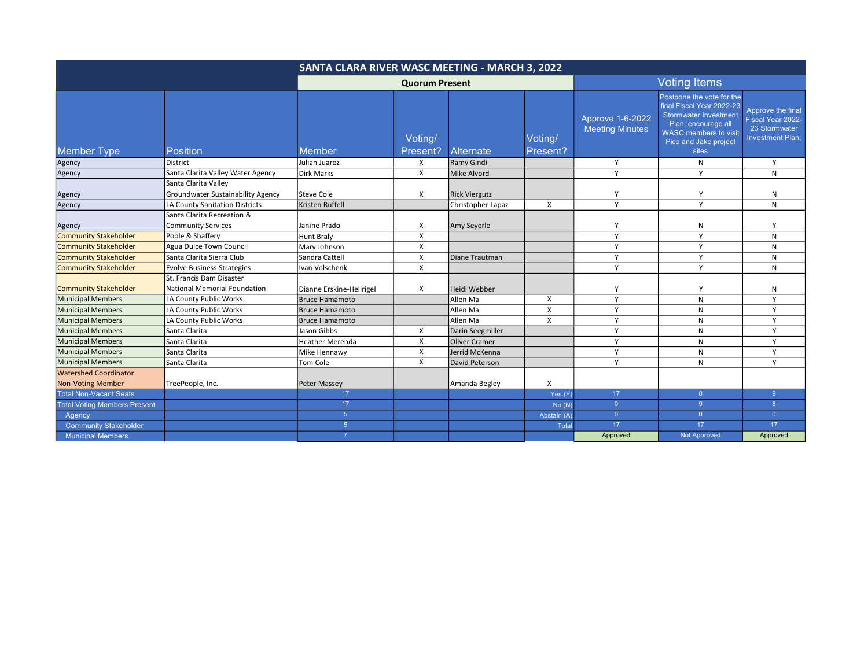| SANTA CLARA RIVER WASC MEETING - MARCH 3, 2022 |                                                          |                          |                       |                      |                     |                                            |                                                                                                                                                                                 |                                                                                    |
|------------------------------------------------|----------------------------------------------------------|--------------------------|-----------------------|----------------------|---------------------|--------------------------------------------|---------------------------------------------------------------------------------------------------------------------------------------------------------------------------------|------------------------------------------------------------------------------------|
|                                                |                                                          |                          | <b>Quorum Present</b> |                      |                     | <b>Voting Items</b>                        |                                                                                                                                                                                 |                                                                                    |
| <b>Member Type</b>                             | <b>Position</b>                                          | Member                   | Voting/<br>Present?   | <b>Alternate</b>     | Voting/<br>Present? | Approve 1-6-2022<br><b>Meeting Minutes</b> | Postpone the vote for the<br>final Fiscal Year 2022-23<br><b>Stormwater Investment</b><br>Plan; encourage all<br><b>WASC</b> members to visit<br>Pico and Jake project<br>sites | Approve the final<br>Fiscal Year 2022-<br>23 Stormwater<br><b>Investment Plan:</b> |
| Agency                                         | District                                                 | Julian Juarez            | Х                     | Ramy Gindi           |                     | Υ                                          | N                                                                                                                                                                               | Y                                                                                  |
| Agency                                         | Santa Clarita Valley Water Agency                        | Dirk Marks               | X                     | Mike Alvord          |                     | Y                                          | Y                                                                                                                                                                               | N                                                                                  |
|                                                | Santa Clarita Valley                                     |                          |                       |                      |                     |                                            |                                                                                                                                                                                 |                                                                                    |
| Agency                                         | Groundwater Sustainability Agency                        | Steve Cole               | X                     | <b>Rick Viergutz</b> |                     | Y                                          | Y                                                                                                                                                                               | N                                                                                  |
| Agency                                         | LA County Sanitation Districts                           | Kristen Ruffell          |                       | Christopher Lapaz    | X                   | Y                                          | Y                                                                                                                                                                               | N                                                                                  |
|                                                | Santa Clarita Recreation &                               |                          |                       |                      |                     |                                            |                                                                                                                                                                                 |                                                                                    |
| Agency                                         | <b>Community Services</b>                                | Janine Prado             | x                     | Amy Seyerle          |                     | Y                                          | $\mathsf{N}$                                                                                                                                                                    | Y                                                                                  |
| <b>Community Stakeholder</b>                   | Poole & Shaffery                                         | <b>Hunt Braly</b>        | X                     |                      |                     | Y                                          | Y                                                                                                                                                                               | N                                                                                  |
| <b>Community Stakeholder</b>                   | Agua Dulce Town Council                                  | Mary Johnson             | X                     |                      |                     | Y                                          | Y                                                                                                                                                                               | N                                                                                  |
| <b>Community Stakeholder</b>                   | Santa Clarita Sierra Club                                | Sandra Cattell           | X                     | Diane Trautman       |                     | Y                                          | Y                                                                                                                                                                               | N                                                                                  |
| <b>Community Stakeholder</b>                   | <b>Evolve Business Strategies</b>                        | Ivan Volschenk           | X                     |                      |                     | Y                                          | Y                                                                                                                                                                               | N                                                                                  |
| <b>Community Stakeholder</b>                   | St. Francis Dam Disaster<br>National Memorial Foundation | Dianne Erskine-Hellrigel | X                     | Heidi Webber         |                     | Υ                                          | Y                                                                                                                                                                               | N                                                                                  |
| <b>Municipal Members</b>                       | LA County Public Works                                   | <b>Bruce Hamamoto</b>    |                       | Allen Ma             | X                   | Y                                          | N                                                                                                                                                                               | $\mathsf{v}$                                                                       |
| <b>Municipal Members</b>                       | LA County Public Works                                   | <b>Bruce Hamamoto</b>    |                       | Allen Ma             | X                   | Y                                          | N                                                                                                                                                                               | Y                                                                                  |
| <b>Municipal Members</b>                       | LA County Public Works                                   | <b>Bruce Hamamoto</b>    |                       | Allen Ma             | X                   | Y                                          | $\mathsf{N}$                                                                                                                                                                    | Y                                                                                  |
| <b>Municipal Members</b>                       | Santa Clarita                                            | Jason Gibbs              | X                     | Darin Seegmiller     |                     | Y                                          | $\mathsf{N}$                                                                                                                                                                    | Y                                                                                  |
| <b>Municipal Members</b>                       | Santa Clarita                                            | <b>Heather Merenda</b>   | X                     | <b>Oliver Cramer</b> |                     | Y                                          | N                                                                                                                                                                               | Y                                                                                  |
| <b>Municipal Members</b>                       | Santa Clarita                                            | Mike Hennawy             | X                     | Jerrid McKenna       |                     | Y                                          | $\mathsf{N}$                                                                                                                                                                    | Y                                                                                  |
| <b>Municipal Members</b>                       | Santa Clarita                                            | Tom Cole                 | X                     | David Peterson       |                     | Y                                          | N                                                                                                                                                                               | Y                                                                                  |
| <b>Watershed Coordinator</b>                   |                                                          |                          |                       |                      |                     |                                            |                                                                                                                                                                                 |                                                                                    |
| <b>Non-Voting Member</b>                       | TreePeople, Inc.                                         | Peter Massey             |                       | Amanda Begley        | X                   |                                            |                                                                                                                                                                                 |                                                                                    |
| <b>Total Non-Vacant Seats</b>                  |                                                          | 17                       |                       |                      | Yes (Y)             | 17 <sup>2</sup>                            | 8 <sup>°</sup>                                                                                                                                                                  | 9                                                                                  |
| <b>Total Voting Members Present</b>            |                                                          | 17                       |                       |                      | No(N)               | $\overline{0}$                             | 9 <sup>°</sup>                                                                                                                                                                  | 8                                                                                  |
| Agency                                         |                                                          | 5 <sup>5</sup>           |                       |                      | Abstain (A)         | $\overline{0}$                             | $\overline{0}$                                                                                                                                                                  | $\Omega$                                                                           |
| <b>Community Stakeholder</b>                   |                                                          | 5 <sup>5</sup>           |                       |                      | Total               | 17                                         | 17                                                                                                                                                                              | 17                                                                                 |
| <b>Municipal Members</b>                       |                                                          | $\overline{7}$           |                       |                      |                     | Approved                                   | <b>Not Approved</b>                                                                                                                                                             | Approved                                                                           |